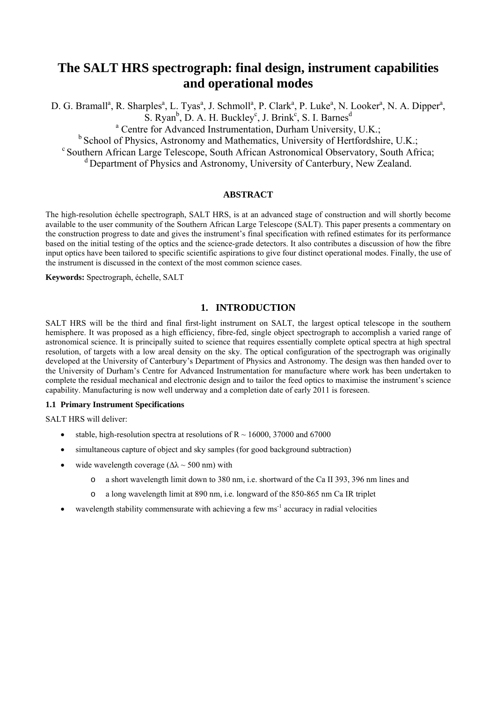# **The SALT HRS spectrograph: final design, instrument capabilities and operational modes**

D. G. Bramall<sup>a</sup>, R. Sharples<sup>a</sup>, L. Tyas<sup>a</sup>, J. Schmoll<sup>a</sup>, P. Clark<sup>a</sup>, P. Luke<sup>a</sup>, N. Looker<sup>a</sup>, N. A. Dipper<sup>a</sup>, S. Ryan<sup>b</sup>, D. A. H. Buckley<sup>c</sup>, J. Brink<sup>c</sup>, S. I. Barnes<sup>d</sup>

<sup>a</sup> Centre for Advanced Instrumentation, Durham University, U.K.;

 $\sigma$ <sup>b</sup> School of Physics, Astronomy and Mathematics, University of Hertfordshire, U.K.; c Southern African Large Telescope, South African Astronomical Observatory, South Africa;

d Department of Physics and Astronomy, University of Canterbury, New Zealand.

# **ABSTRACT**

The high-resolution échelle spectrograph, SALT HRS, is at an advanced stage of construction and will shortly become available to the user community of the Southern African Large Telescope (SALT). This paper presents a commentary on the construction progress to date and gives the instrument's final specification with refined estimates for its performance based on the initial testing of the optics and the science-grade detectors. It also contributes a discussion of how the fibre input optics have been tailored to specific scientific aspirations to give four distinct operational modes. Finally, the use of the instrument is discussed in the context of the most common science cases.

**Keywords:** Spectrograph, échelle, SALT

# **1. INTRODUCTION**

SALT HRS will be the third and final first-light instrument on SALT, the largest optical telescope in the southern hemisphere. It was proposed as a high efficiency, fibre-fed, single object spectrograph to accomplish a varied range of astronomical science. It is principally suited to science that requires essentially complete optical spectra at high spectral resolution, of targets with a low areal density on the sky. The optical configuration of the spectrograph was originally developed at the University of Canterbury's Department of Physics and Astronomy. The design was then handed over to the University of Durham's Centre for Advanced Instrumentation for manufacture where work has been undertaken to complete the residual mechanical and electronic design and to tailor the feed optics to maximise the instrument's science capability. Manufacturing is now well underway and a completion date of early 2011 is foreseen.

### **1.1 Primary Instrument Specifications**

SALT HRS will deliver:

- stable, high-resolution spectra at resolutions of  $R \sim 16000$ , 37000 and 67000
- simultaneous capture of object and sky samples (for good background subtraction)
- wide wavelength coverage ( $\Delta\lambda \sim 500$  nm) with
	- o a short wavelength limit down to 380 nm, i.e. shortward of the Ca II 393, 396 nm lines and
	- o a long wavelength limit at 890 nm, i.e. longward of the 850-865 nm Ca IR triplet
- wavelength stability commensurate with achieving a few  $ms<sup>-1</sup>$  accuracy in radial velocities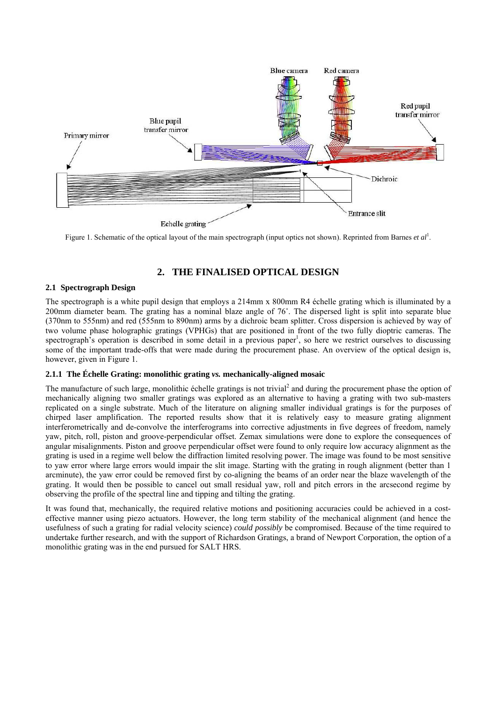

Figure 1. Schematic of the optical layout of the main spectrograph (input optics not shown). Reprinted from Barnes *et al*<sup>1</sup>.

# **2. THE FINALISED OPTICAL DESIGN**

## **2.1 Spectrograph Design**

The spectrograph is a white pupil design that employs a 214mm x 800mm R4 échelle grating which is illuminated by a 200mm diameter beam. The grating has a nominal blaze angle of 76˚. The dispersed light is split into separate blue (370nm to 555nm) and red (555nm to 890nm) arms by a dichroic beam splitter. Cross dispersion is achieved by way of two volume phase holographic gratings (VPHGs) that are positioned in front of the two fully dioptric cameras. The spectrograph's operation is described in some detail in a previous paper<sup>1</sup>, so here we restrict ourselves to discussing some of the important trade-offs that were made during the procurement phase. An overview of the optical design is, however, given in Figure 1.

# **2.1.1 The Échelle Grating: monolithic grating** *vs.* **mechanically-aligned mosaic**

The manufacture of such large, monolithic échelle gratings is not trivial<sup>2</sup> and during the procurement phase the option of mechanically aligning two smaller gratings was explored as an alternative to having a grating with two sub-masters replicated on a single substrate. Much of the literature on aligning smaller individual gratings is for the purposes of chirped laser amplification. The reported results show that it is relatively easy to measure grating alignment interferometrically and de-convolve the interferograms into corrective adjustments in five degrees of freedom, namely yaw, pitch, roll, piston and groove-perpendicular offset. Zemax simulations were done to explore the consequences of angular misalignments. Piston and groove perpendicular offset were found to only require low accuracy alignment as the grating is used in a regime well below the diffraction limited resolving power. The image was found to be most sensitive to yaw error where large errors would impair the slit image. Starting with the grating in rough alignment (better than 1 arcminute), the yaw error could be removed first by co-aligning the beams of an order near the blaze wavelength of the grating. It would then be possible to cancel out small residual yaw, roll and pitch errors in the arcsecond regime by observing the profile of the spectral line and tipping and tilting the grating.

It was found that, mechanically, the required relative motions and positioning accuracies could be achieved in a costeffective manner using piezo actuators. However, the long term stability of the mechanical alignment (and hence the usefulness of such a grating for radial velocity science) *could possibly* be compromised. Because of the time required to undertake further research, and with the support of Richardson Gratings, a brand of Newport Corporation, the option of a monolithic grating was in the end pursued for SALT HRS.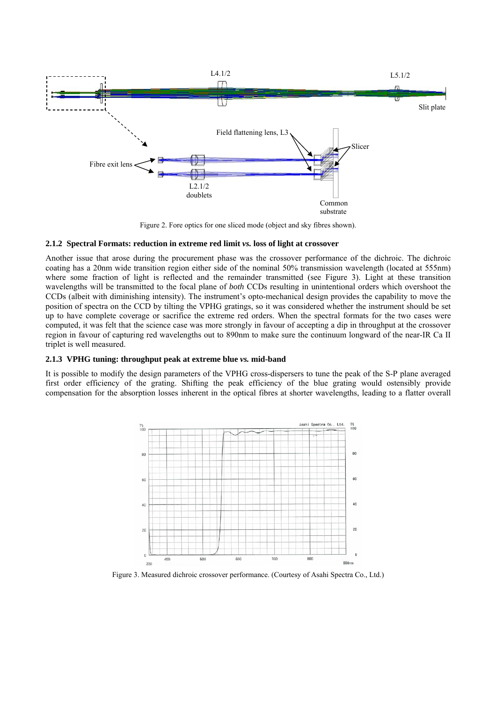

Figure 2. Fore optics for one sliced mode (object and sky fibres shown).

#### **2.1.2 Spectral Formats: reduction in extreme red limit** *vs.* **loss of light at crossover**

Another issue that arose during the procurement phase was the crossover performance of the dichroic. The dichroic coating has a 20nm wide transition region either side of the nominal 50% transmission wavelength (located at 555nm) where some fraction of light is reflected and the remainder transmitted (see Figure 3). Light at these transition wavelengths will be transmitted to the focal plane of *both* CCDs resulting in unintentional orders which overshoot the CCDs (albeit with diminishing intensity). The instrument's opto-mechanical design provides the capability to move the position of spectra on the CCD by tilting the VPHG gratings, so it was considered whether the instrument should be set up to have complete coverage or sacrifice the extreme red orders. When the spectral formats for the two cases were computed, it was felt that the science case was more strongly in favour of accepting a dip in throughput at the crossover region in favour of capturing red wavelengths out to 890nm to make sure the continuum longward of the near-IR Ca II triplet is well measured.

### **2.1.3 VPHG tuning: throughput peak at extreme blue** *vs.* **mid-band**

It is possible to modify the design parameters of the VPHG cross-dispersers to tune the peak of the S-P plane averaged first order efficiency of the grating. Shifting the peak efficiency of the blue grating would ostensibly provide compensation for the absorption losses inherent in the optical fibres at shorter wavelengths, leading to a flatter overall



Figure 3. Measured dichroic crossover performance. (Courtesy of Asahi Spectra Co., Ltd.)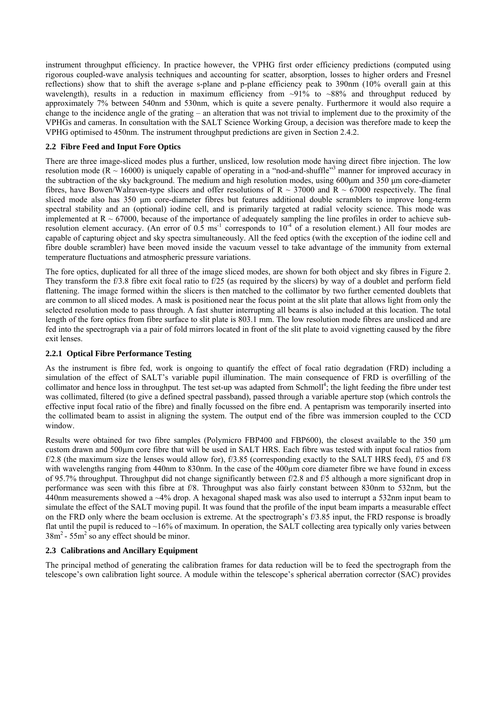instrument throughput efficiency. In practice however, the VPHG first order efficiency predictions (computed using rigorous coupled-wave analysis techniques and accounting for scatter, absorption, losses to higher orders and Fresnel reflections) show that to shift the average s-plane and p-plane efficiency peak to 390nm (10% overall gain at this wavelength), results in a reduction in maximum efficiency from ~91% to ~88% and throughput reduced by approximately 7% between 540nm and 530nm, which is quite a severe penalty. Furthermore it would also require a change to the incidence angle of the grating – an alteration that was not trivial to implement due to the proximity of the VPHGs and cameras. In consultation with the SALT Science Working Group, a decision was therefore made to keep the VPHG optimised to 450nm. The instrument throughput predictions are given in Section 2.4.2.

# **2.2 Fibre Feed and Input Fore Optics**

There are three image-sliced modes plus a further, unsliced, low resolution mode having direct fibre injection. The low resolution mode ( $R \sim 16000$ ) is uniquely capable of operating in a "nod-and-shuffle"<sup>3</sup> manner for improved accuracy in the subtraction of the sky background. The medium and high resolution modes, using 600µm and 350 µm core-diameter fibres, have Bowen/Walraven-type slicers and offer resolutions of  $R \sim 37000$  and  $R \sim 67000$  respectively. The final sliced mode also has 350 µm core-diameter fibres but features additional double scramblers to improve long-term spectral stability and an (optional) iodine cell, and is primarily targeted at radial velocity science. This mode was implemented at  $R \sim 67000$ , because of the importance of adequately sampling the line profiles in order to achieve subresolution element accuracy. (An error of  $0.5 \text{ ms}^{-1}$  corresponds to  $10^{-4}$  of a resolution element.) All four modes are capable of capturing object and sky spectra simultaneously. All the feed optics (with the exception of the iodine cell and fibre double scrambler) have been moved inside the vacuum vessel to take advantage of the immunity from external temperature fluctuations and atmospheric pressure variations.

The fore optics, duplicated for all three of the image sliced modes, are shown for both object and sky fibres in Figure 2. They transform the f/3.8 fibre exit focal ratio to f/25 (as required by the slicers) by way of a doublet and perform field flattening. The image formed within the slicers is then matched to the collimator by two further cemented doublets that are common to all sliced modes. A mask is positioned near the focus point at the slit plate that allows light from only the selected resolution mode to pass through. A fast shutter interrupting all beams is also included at this location. The total length of the fore optics from fibre surface to slit plate is 803.1 mm. The low resolution mode fibres are unsliced and are fed into the spectrograph via a pair of fold mirrors located in front of the slit plate to avoid vignetting caused by the fibre exit lenses.

### **2.2.1 Optical Fibre Performance Testing**

As the instrument is fibre fed, work is ongoing to quantify the effect of focal ratio degradation (FRD) including a simulation of the effect of SALT's variable pupil illumination. The main consequence of FRD is overfilling of the collimator and hence loss in throughput. The test set-up was adapted from Schmoll<sup>4</sup>; the light feeding the fibre under test was collimated, filtered (to give a defined spectral passband), passed through a variable aperture stop (which controls the effective input focal ratio of the fibre) and finally focussed on the fibre end. A pentaprism was temporarily inserted into the collimated beam to assist in aligning the system. The output end of the fibre was immersion coupled to the CCD window.

Results were obtained for two fibre samples (Polymicro FBP400 and FBP600), the closest available to the 350 µm custom drawn and 500µm core fibre that will be used in SALT HRS. Each fibre was tested with input focal ratios from  $f/2.8$  (the maximum size the lenses would allow for),  $f/3.85$  (corresponding exactly to the SALT HRS feed),  $f/5$  and  $f/8$ with wavelengths ranging from 440nm to 830nm. In the case of the 400µm core diameter fibre we have found in excess of 95.7% throughput. Throughput did not change significantly between f/2.8 and f/5 although a more significant drop in performance was seen with this fibre at f/8. Throughput was also fairly constant between 830nm to 532nm, but the 440nm measurements showed a ~4% drop. A hexagonal shaped mask was also used to interrupt a 532nm input beam to simulate the effect of the SALT moving pupil. It was found that the profile of the input beam imparts a measurable effect on the FRD only where the beam occlusion is extreme. At the spectrograph's f/3.85 input, the FRD response is broadly flat until the pupil is reduced to  $\sim16\%$  of maximum. In operation, the SALT collecting area typically only varies between  $38m^2$  -  $55m^2$  so any effect should be minor.

### **2.3 Calibrations and Ancillary Equipment**

The principal method of generating the calibration frames for data reduction will be to feed the spectrograph from the telescope's own calibration light source. A module within the telescope's spherical aberration corrector (SAC) provides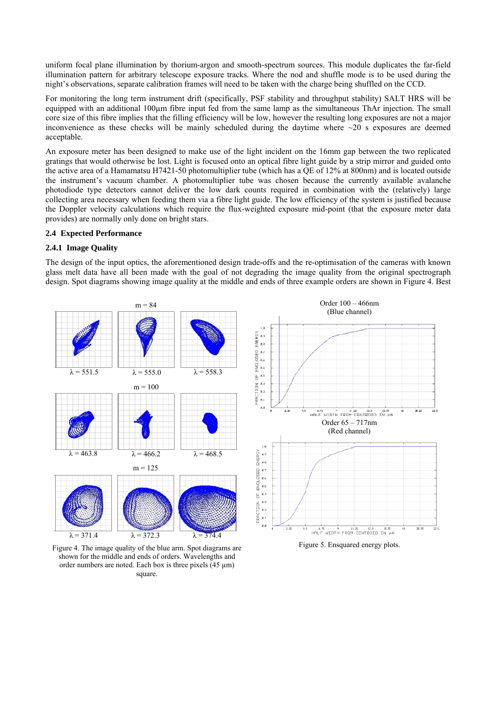uniform focal plane illumination by thorium-argon and smooth-spectrum sources. This module duplicates the far-field illumination pattern for arbitrary telescope exposure tracks. Where the nod and shuffle mode is to be used during the night's observations, separate calibration frames will need to be taken with the charge being shuffled on the CCD.

For monitoring the long term instrument drift (specifically, PSF stability and throughput stability) SALT HRS will be equipped with an additional 100µm fibre input fed from the same lamp as the simultaneous ThAr injection. The small core size of this fibre implies that the filling efficiency will be low, however the resulting long exposures are not a major inconvenience as these checks will be mainly scheduled during the daytime where  $\sim$ 20 s exposures are deemed acceptable.

An exposure meter has been designed to make use of the light incident on the 16mm gap between the two replicated gratings that would otherwise be lost. Light is focused onto an optical fibre light guide by a strip mirror and guided onto the active area of a Hamamatsu H7421-50 photomultiplier tube (which has a QE of 12% at 800nm) and is located outside the instrument's vacuum chamber. A photomultiplier tube was chosen because the currently available avalanche photodiode type detectors cannot deliver the low dark counts required in combination with the (relatively) large collecting area necessary when feeding them via a fibre light guide. The low efficiency of the system is justified because the Doppler velocity calculations which require the flux-weighted exposure mid-point (that the exposure meter data provides) are normally only done on bright stars.

#### **2.4 Expected Performance**

#### **2.4.1 Image Quality**

The design of the input optics, the aforementioned design trade-offs and the re-optimisation of the cameras with known glass melt data have all been made with the goal of not degrading the image quality from the original spectrograph design. Spot diagrams showing image quality at the middle and ends of three example orders are shown in Figure 4. Best



shown for the middle and ends of orders. Wavelengths and order numbers are noted. Each box is three pixels  $(45 \mu m)$ square.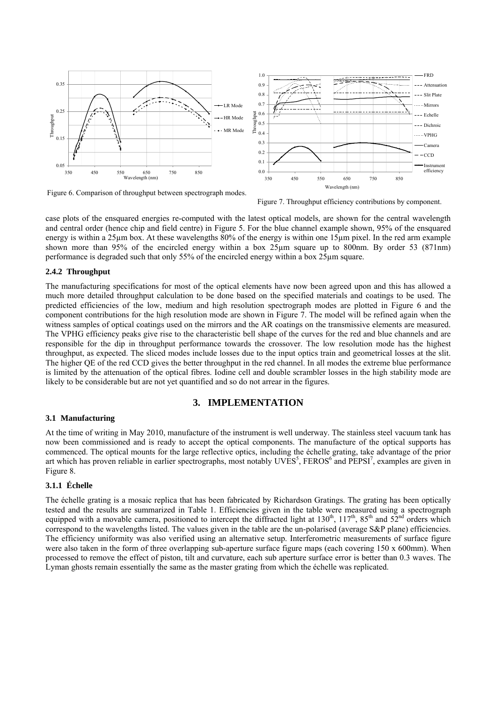

Figure 6. Comparison of throughput between spectrograph modes.

Figure 7. Throughput efficiency contributions by component.

case plots of the ensquared energies re-computed with the latest optical models, are shown for the central wavelength and central order (hence chip and field centre) in Figure 5. For the blue channel example shown, 95% of the ensquared energy is within a 25µm box. At these wavelengths 80% of the energy is within one 15µm pixel. In the red arm example shown more than 95% of the encircled energy within a box  $25\mu$ m square up to 800nm. By order 53 (871nm) performance is degraded such that only 55% of the encircled energy within a box 25µm square.

#### **2.4.2 Throughput**

The manufacturing specifications for most of the optical elements have now been agreed upon and this has allowed a much more detailed throughput calculation to be done based on the specified materials and coatings to be used. The predicted efficiencies of the low, medium and high resolution spectrograph modes are plotted in Figure 6 and the component contributions for the high resolution mode are shown in Figure 7. The model will be refined again when the witness samples of optical coatings used on the mirrors and the AR coatings on the transmissive elements are measured. The VPHG efficiency peaks give rise to the characteristic bell shape of the curves for the red and blue channels and are responsible for the dip in throughput performance towards the crossover. The low resolution mode has the highest throughput, as expected. The sliced modes include losses due to the input optics train and geometrical losses at the slit. The higher QE of the red CCD gives the better throughput in the red channel. In all modes the extreme blue performance is limited by the attenuation of the optical fibres. Iodine cell and double scrambler losses in the high stability mode are likely to be considerable but are not yet quantified and so do not arrear in the figures.

### **3. IMPLEMENTATION**

#### **3.1 Manufacturing**

At the time of writing in May 2010, manufacture of the instrument is well underway. The stainless steel vacuum tank has now been commissioned and is ready to accept the optical components. The manufacture of the optical supports has commenced. The optical mounts for the large reflective optics, including the échelle grating, take advantage of the prior art which has proven reliable in earlier spectrographs, most notably  $UVES<sup>5</sup>$ ,  $FEROS<sup>6</sup>$  and  $PEPSI<sup>7</sup>$ , examples are given in Figure 8.

#### **3.1.1 Échelle**

The échelle grating is a mosaic replica that has been fabricated by Richardson Gratings. The grating has been optically tested and the results are summarized in Table 1. Efficiencies given in the table were measured using a spectrograph equipped with a movable camera, positioned to intercept the diffracted light at 130<sup>th</sup>, 117<sup>th</sup>, 85<sup>th</sup> and 52<sup>nd</sup> orders which correspond to the wavelengths listed. The values given in the table are the un-polarised (average S&P plane) efficiencies. The efficiency uniformity was also verified using an alternative setup. Interferometric measurements of surface figure were also taken in the form of three overlapping sub-aperture surface figure maps (each covering 150 x 600mm). When processed to remove the effect of piston, tilt and curvature, each sub aperture surface error is better than 0.3 waves. The Lyman ghosts remain essentially the same as the master grating from which the échelle was replicated.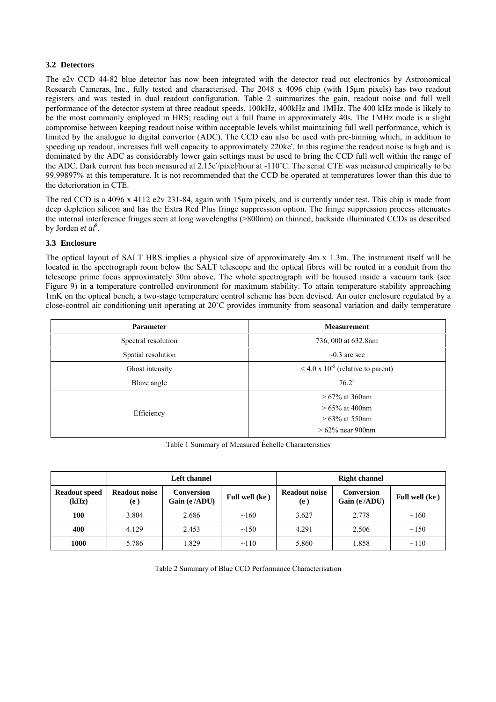# **3.2 Detectors**

The e2v CCD 44-82 blue detector has now been integrated with the detector read out electronics by Astronomical Research Cameras, Inc., fully tested and characterised. The 2048 x 4096 chip (with 15µm pixels) has two readout registers and was tested in dual readout configuration. Table 2 summarizes the gain, readout noise and full well performance of the detector system at three readout speeds, 100kHz, 400kHz and 1MHz. The 400 kHz mode is likely to be the most commonly employed in HRS; reading out a full frame in approximately 40s. The 1MHz mode is a slight compromise between keeping readout noise within acceptable levels whilst maintaining full well performance, which is limited by the analogue to digital convertor (ADC). The CCD can also be used with pre-binning which, in addition to speeding up readout, increases full well capacity to approximately 220ke. In this regime the readout noise is high and is dominated by the ADC as considerably lower gain settings must be used to bring the CCD full well within the range of the ADC. Dark current has been measured at 2.15e/pixel/hour at -110°C. The serial CTE was measured empirically to be 99.99897% at this temperature. It is not recommended that the CCD be operated at temperatures lower than this due to the deterioration in CTE.

The red CCD is a 4096 x 4112 e2v 231-84, again with 15<sup>um</sup> pixels, and is currently under test. This chip is made from deep depletion silicon and has the Extra Red Plus fringe suppression option. The fringe suppression process attenuates the internal interference fringes seen at long wavelengths (>800nm) on thinned, backside illuminated CCDs as described by Jorden *et al*<sup>8</sup>.

### **3.3 Enclosure**

The optical layout of SALT HRS implies a physical size of approximately 4m x 1.3m. The instrument itself will be located in the spectrograph room below the SALT telescope and the optical fibres will be routed in a conduit from the telescope prime focus approximately 30m above. The whole spectrograph will be housed inside a vacuum tank (see Figure 9) in a temperature controlled environment for maximum stability. To attain temperature stability approaching 1mK on the optical bench, a two-stage temperature control scheme has been devised. An outer enclosure regulated by a close-control air conditioning unit operating at 20˚C provides immunity from seasonal variation and daily temperature

| <b>Parameter</b>    | <b>Measurement</b>                                                              |  |  |
|---------------------|---------------------------------------------------------------------------------|--|--|
| Spectral resolution | 736, 000 at 632.8nm                                                             |  |  |
| Spatial resolution  | $\sim 0.3$ arc sec                                                              |  |  |
| Ghost intensity     | $<$ 4.0 x 10 <sup>-5</sup> (relative to parent)                                 |  |  |
| Blaze angle         | $76.2^\circ$                                                                    |  |  |
| Efficiency          | $>67\%$ at 360nm<br>$> 65\%$ at 400nm<br>$>63\%$ at 550nm<br>$>62\%$ near 900nm |  |  |

Table 1 Summary of Measured Échelle Characteristics

|                               | Left channel                          |                                   | <b>Right channel</b>         |                                           |                                    |                |
|-------------------------------|---------------------------------------|-----------------------------------|------------------------------|-------------------------------------------|------------------------------------|----------------|
| <b>Readout speed</b><br>(kHz) | <b>Readout noise</b><br>$(e^{\cdot})$ | <b>Conversion</b><br>Gain (e/ADU) | Full well (ke <sup>-</sup> ) | <b>Readout noise</b><br>(e <sub>1</sub> ) | <b>Conversion</b><br>Gain (e'/ADU) | Full well (ke) |
| 100                           | 3.804                                 | 2.686                             | $\sim$ 160                   | 3.627                                     | 2.778                              | $\sim$ 160     |
| 400                           | 4.129                                 | 2.453                             | $\sim$ 150                   | 4.291                                     | 2.506                              | $\sim$ 150     |
| 1000                          | 5.786                                 | 1.829                             | $\sim$ 110                   | 5.860                                     | 1.858                              | $\sim$ 110     |

Table 2 Summary of Blue CCD Performance Characterisation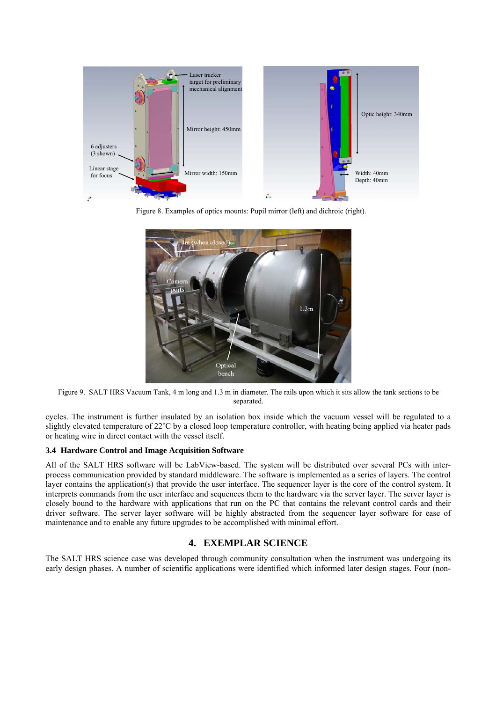

Figure 8. Examples of optics mounts: Pupil mirror (left) and dichroic (right).



Figure 9. SALT HRS Vacuum Tank, 4 m long and 1.3 m in diameter. The rails upon which it sits allow the tank sections to be separated.

cycles. The instrument is further insulated by an isolation box inside which the vacuum vessel will be regulated to a slightly elevated temperature of 22˚C by a closed loop temperature controller, with heating being applied via heater pads or heating wire in direct contact with the vessel itself.

### **3.4 Hardware Control and Image Acquisition Software**

All of the SALT HRS software will be LabView-based. The system will be distributed over several PCs with interprocess communication provided by standard middleware. The software is implemented as a series of layers. The control layer contains the application(s) that provide the user interface. The sequencer layer is the core of the control system. It interprets commands from the user interface and sequences them to the hardware via the server layer. The server layer is closely bound to the hardware with applications that run on the PC that contains the relevant control cards and their driver software. The server layer software will be highly abstracted from the sequencer layer software for ease of maintenance and to enable any future upgrades to be accomplished with minimal effort.

# **4. EXEMPLAR SCIENCE**

The SALT HRS science case was developed through community consultation when the instrument was undergoing its early design phases. A number of scientific applications were identified which informed later design stages. Four (non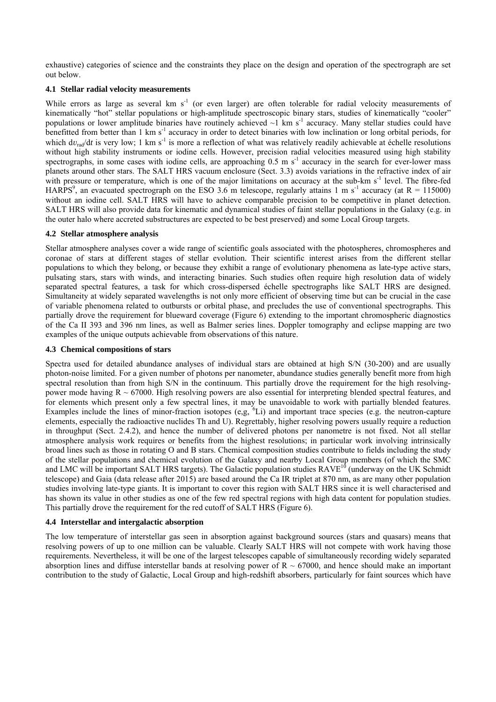exhaustive) categories of science and the constraints they place on the design and operation of the spectrograph are set out below.

## **4.1 Stellar radial velocity measurements**

While errors as large as several km s<sup>-1</sup> (or even larger) are often tolerable for radial velocity measurements of kinematically "hot" stellar populations or high-amplitude spectroscopic binary stars, studies of kinematically "cooler" populations or lower amplitude binaries have routinely achieved  $~1~{\rm km~s}^{-1}$  accuracy. Many stellar studies could have benefitted from better than 1 km s<sup>-1</sup> accuracy in order to detect binaries with low inclination or long orbital periods, for which  $dv_{rad}/dt$  is very low; 1 km s<sup>-1</sup> is more a reflection of what was relatively readily achievable at échelle resolutions without high stability instruments or iodine cells. However, precision radial velocities measured using high stability spectrographs, in some cases with iodine cells, are approaching  $0.5 \text{ m s}^{-1}$  accuracy in the search for ever-lower mass planets around other stars. The SALT HRS vacuum enclosure (Sect. 3.3) avoids variations in the refractive index of air with pressure or temperature, which is one of the major limitations on accuracy at the sub-km s<sup>-1</sup> level. The fibre-fed HARPS<sup>9</sup>, an evacuated spectrograph on the ESO 3.6 m telescope, regularly attains 1 m s<sup>-1</sup> accuracy (at R = 115000) without an iodine cell. SALT HRS will have to achieve comparable precision to be competitive in planet detection. SALT HRS will also provide data for kinematic and dynamical studies of faint stellar populations in the Galaxy (e.g. in the outer halo where accreted substructures are expected to be best preserved) and some Local Group targets.

### **4.2 Stellar atmosphere analysis**

Stellar atmosphere analyses cover a wide range of scientific goals associated with the photospheres, chromospheres and coronae of stars at different stages of stellar evolution. Their scientific interest arises from the different stellar populations to which they belong, or because they exhibit a range of evolutionary phenomena as late-type active stars, pulsating stars, stars with winds, and interacting binaries. Such studies often require high resolution data of widely separated spectral features, a task for which cross-dispersed échelle spectrographs like SALT HRS are designed. Simultaneity at widely separated wavelengths is not only more efficient of observing time but can be crucial in the case of variable phenomena related to outbursts or orbital phase, and precludes the use of conventional spectrographs. This partially drove the requirement for blueward coverage (Figure 6) extending to the important chromospheric diagnostics of the Ca II 393 and 396 nm lines, as well as Balmer series lines. Doppler tomography and eclipse mapping are two examples of the unique outputs achievable from observations of this nature.

### **4.3 Chemical compositions of stars**

Spectra used for detailed abundance analyses of individual stars are obtained at high S/N (30-200) and are usually photon-noise limited. For a given number of photons per nanometer, abundance studies generally benefit more from high spectral resolution than from high S/N in the continuum. This partially drove the requirement for the high resolvingpower mode having  $R \sim 67000$ . High resolving powers are also essential for interpreting blended spectral features, and for elements which present only a few spectral lines, it may be unavoidable to work with partially blended features. Examples include the lines of minor-fraction isotopes  $(e, g, \mathbf{e}_L)$  and important trace species  $(e, g)$ . the neutron-capture elements, especially the radioactive nuclides Th and U). Regrettably, higher resolving powers usually require a reduction in throughput (Sect. 2.4.2), and hence the number of delivered photons per nanometre is not fixed. Not all stellar atmosphere analysis work requires or benefits from the highest resolutions; in particular work involving intrinsically broad lines such as those in rotating O and B stars. Chemical composition studies contribute to fields including the study of the stellar populations and chemical evolution of the Galaxy and nearby Local Group members (of which the SMC and LMC will be important SALT HRS targets). The Galactic population studies RAVE<sup>10</sup> (underway on the UK Schmidt telescope) and Gaia (data release after 2015) are based around the Ca IR triplet at 870 nm, as are many other population studies involving late-type giants. It is important to cover this region with SALT HRS since it is well characterised and has shown its value in other studies as one of the few red spectral regions with high data content for population studies. This partially drove the requirement for the red cutoff of SALT HRS (Figure 6).

### **4.4 Interstellar and intergalactic absorption**

The low temperature of interstellar gas seen in absorption against background sources (stars and quasars) means that resolving powers of up to one million can be valuable. Clearly SALT HRS will not compete with work having those requirements. Nevertheless, it will be one of the largest telescopes capable of simultaneously recording widely separated absorption lines and diffuse interstellar bands at resolving power of  $R \sim 67000$ , and hence should make an important contribution to the study of Galactic, Local Group and high-redshift absorbers, particularly for faint sources which have